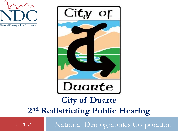





# **City of Duarte 2 nd Redistricting Public Hearing**

1-11-2022 National Demographics Corporation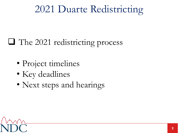# 2021 Duarte Redistricting

## ❑ The 2021 redistricting process

- Project timelines
- Key deadlines
- Next steps and hearings

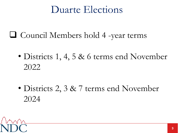# Duarte Elections

- ❑ Council Members hold 4 -year terms
	- Districts 1, 4, 5 & 6 terms end November 2022
	- Districts 2, 3 & 7 terms end November 2024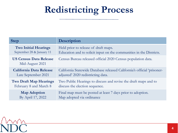# **Redistricting Process**

| <b>Step</b>                                      | <b>Description</b>                                                      |
|--------------------------------------------------|-------------------------------------------------------------------------|
| <b>Two Initial Hearings</b>                      | Held prior to release of draft maps.                                    |
| September 28 & January 11                        | Education and to solicit input on the communities in the Districts.     |
| <b>US Census Data Release</b><br>Mid-August 2021 | Census Bureau released official 2020 Census population data.            |
| <b>California Data Release</b>                   | California Statewide Database released California's official 'prisoner- |
| Late September 2021                              | adjusted' 2020 redistricting data.                                      |
| <b>Two Draft Map Hearings</b>                    | Two Public Hearings to discuss and revise the draft maps and to         |
| February 8 and March 8                           | discuss the election sequence.                                          |
| <b>Map Adoption</b>                              | Final map must be posted at least 7 days prior to adoption.             |
| By April 17, 2022                                | Map adopted via ordinance                                               |

mn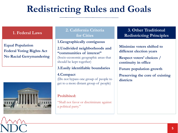# **FREDRITICITING RULES AND GOALS**<br> **Example 18 Access 2.** California Criteria for Cities<br>
for Cities<br> **Example increase and the structure of the control of the strain of the communities of interest<sup>9</sup><br>
should be kept togeth**

**Equal Population Federal Voting Rights Act No Racial Gerrymandering**



### **1. Federal Laws 2. California Criteria for Cities**

### **1.Geographically contiguous**

### **2.Undivided neighborhoods and "communities of interest"**

(Socio-economic geographic areas that should be kept together)

### **3.Easily identifiable boundaries**

### **4.Compact**

(Do not bypass one group of people to get to a more distant group of people)

### **Prohibited:**

"Shall not favor or discriminate against a political party."

### **3. Other Traditional Redistricting Principles**

**Minimize voters shifted to different election years**

**Respect voters' choices / continuity in office**

**Future population growth**

**Preserving the core of existing districts**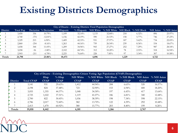# **Existing Districts Demographics**

|          | <b>City of Duarte - Existing Districts Total Population Demographics</b> |        |                       |          |           |       |                                                    |       |          |          |            |
|----------|--------------------------------------------------------------------------|--------|-----------------------|----------|-----------|-------|----------------------------------------------------|-------|----------|----------|------------|
| District | <b>Total Pop</b>                                                         |        | Deviation % Deviation | Hispanic |           |       | % Hispanic NH White % NH White NH Black % NH Black |       |          | NH Asian | % NH Asian |
|          | 3,450                                                                    | 336    | $10.79\%$             | 1,109    | 32.14%    | 1,133 | 32.84%                                             | 218   | $6.32\%$ | 896      | 25.97%     |
|          | 2,740                                                                    | $-374$ | $-12.01\%$            | 1,156    | 42.19%    | 590   | 21.53%                                             | 158   | $5.77\%$ | 746      | 27.23%     |
|          | 3,329                                                                    | 215    | $6.90\%$              | 1,409    | $42.33\%$ | 931   | 27.97%                                             | 187   | $5.62\%$ | 734      | 22.05%     |
|          | 2,860                                                                    | $-254$ | $-8.16%$              | 1,263    | 44.16%    | 759   | $26.54\%$                                          | 239   | $8.36\%$ | 534      | $18.67\%$  |
|          | 3,458                                                                    | 344    | $1.05\%$              | 1,209    | 34.96%    | 943   | $27.27\%$                                          | 252   | $7.29\%$ | 987      | 28.54%     |
| 6        | 3,058                                                                    | $-56$  | $-1.80%$              | 2,102    | 68.74%    | 312   | $10.20\%$                                          | 78    | $2.55\%$ | 518      | $16.94\%$  |
|          | 2,903                                                                    | $-211$ | $-6.78\%$             | 2,225    | 76.64%    | 228   | $7.85\%$                                           | 97    | $3.34\%$ | 307      | 10.58%     |
| Totals   | 21,798                                                                   |        | 23.06%                | 10,473   |           | 4,896 |                                                    | 1,229 |          | 4,722    |            |

|                 | City of Duarte - Existing Demographics Citizen Voting Age Population (CVAP) Demographics |             |             |                 |                     |             |                     |             |             |
|-----------------|------------------------------------------------------------------------------------------|-------------|-------------|-----------------|---------------------|-------------|---------------------|-------------|-------------|
|                 |                                                                                          | Hisp        | $%$ Hisp    | <b>NH</b> White | % NH White NH Black |             | % NH Black NH Asian |             | % NH Asian  |
| <b>District</b> | <b>Total CVAP</b>                                                                        | <b>CVAP</b> | <b>CVAP</b> | <b>CVAP</b>     | <b>CVAP</b>         | <b>CVAP</b> | <b>CVAP</b>         | <b>CVAP</b> | <b>CVAP</b> |
|                 | 3,141                                                                                    | 931         | 29.63%      | 1,412           | 44.94%              | 208         | $6.63\%$            | 520         | $16.57\%$   |
|                 | 2,198                                                                                    | 824         | 37.48%      | 723             | $32.90\%$           | 153         | $6.94\%$            | 400         | $18.20\%$   |
|                 | 3,055                                                                                    | ,355        | 44.37%      | 1,048           | $34.30\%$           | 197         | $6.43\%$            | 417         | $13.64\%$   |
|                 | 2,725                                                                                    | ,022        | $37.51\%$   | 1,119           | $41.07\%$           | 186         | $6.81\%$            | 340         | 12.48%      |
|                 | 2,700                                                                                    | 822         | $30.45\%$   | 1,036           | 38.39%              | 198         | $7.34\%$            | 598         | 22.15%      |
|                 | 2,786                                                                                    | 2,017       | 72.40%      | 382             | $13.70\%$           | 122         | $4.39\%$            | 292         | 10.48%      |
|                 | 2,413                                                                                    | ,470        | $60.92\%$   | 380             | $15.77\%$           | 203         | $8.40\%$            | 199         | $8.26\%$    |
| Totals          | 19,018                                                                                   | 8,442       |             | 6,101           |                     | 1,266       |                     | 2,767       |             |

 $M\Lambda$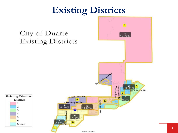# **Existing Districts**

### $\overline{1}$ City of Duarte 10.79% **Existing Districts** Spines Campon Rd  $-12.01%$ 3 Vineyard Ave as Lomas Rd **Fish Canyon Rd**  $\overline{\mathbf{2}}$ **Royal Oaks Dr**  $6.9%$ **District**  $\overline{\mathbf{4}}$ 5 **Elmhurst E** Huntington Dr 1  $11.05%$ 2  $-8.16%$ **ETO** 3 Ave 4  $\begin{bmatrix} 6 \\ -1.8\% \end{bmatrix}$ 5 6 6 Other

@2021 CALIPER

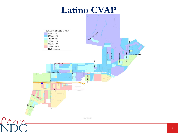## **Latino CVAP**

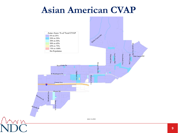### **Asian American CVAP**

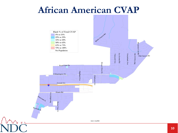### **African American CVAP**



**10**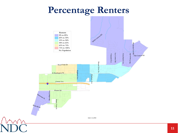# **Percentage Renters**

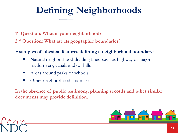# **Defining Neighborhoods**

**1 st Question: What is your neighborhood?**

**2 nd Question: What are its geographic boundaries?**

### **Examples of physical features defining a neighborhood boundary:**

- Natural neighborhood dividing lines, such as highway or major roads, rivers, canals and/or hills
- Areas around parks or schools
- Other neighborhood landmarks

**In the absence of public testimony, planning records and other similar documents may provide definition.**



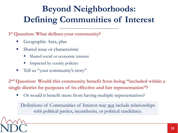# **Beyond Neighborhoods: Defining Communities of Interest**

**1 st Question: What defines your community?**

- Geographic Area, plus
- Shared issue or characteristic
	- Shared social or economic interest
	- Impacted by county policies
- Tell us "your community's story"

**2 nd Question: Would this community benefit from being "included within a single district for purposes of its effective and fair representation"?** 

Or would it benefit more from having multiple representatives?

Definitions of Communities of Interest may not include relationships with political parties, incumbents, or political candidates.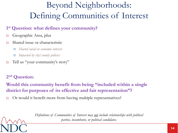## Beyond Neighborhoods: Defining Communities of Interest

### **1 st Question: what defines your community?**

- $\Box$  Geographic Area, plus
- Shared issue or characteristic
	- *Shared social or economic interest*
	- *Impacted by city/county policies*
- $\Box$  Tell us "your community's story"

### **2 nd Question:**

**Would this community benefit from being "included within a single district for purposes of its effective and fair representation"?** 

 $\Box$  Or would it benefit more from having multiple representatives?

*Definitions of Communities of Interest may not include relationships with political parties, incumbents, or political candidates.*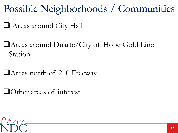Possible Neighborhoods / Communities Possible Neighborhoods / Communities

- ❑ Areas around City Hall
- ❑Areas around Duarte/City of Hope Gold Line Station
- ❑Areas north of 210 Freeway
- ❑Other areas of interest

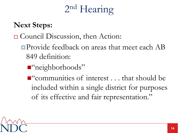# 2 nd Hearing

### **Next Steps:**

### □ Council Discussion, then Action:

- **Provide feedback on areas that meet each AB** 849 definition:
	- ■"neighborhoods"
	- ■"communities of interest . . . that should be included within a single district for purposes of its effective and fair representation."